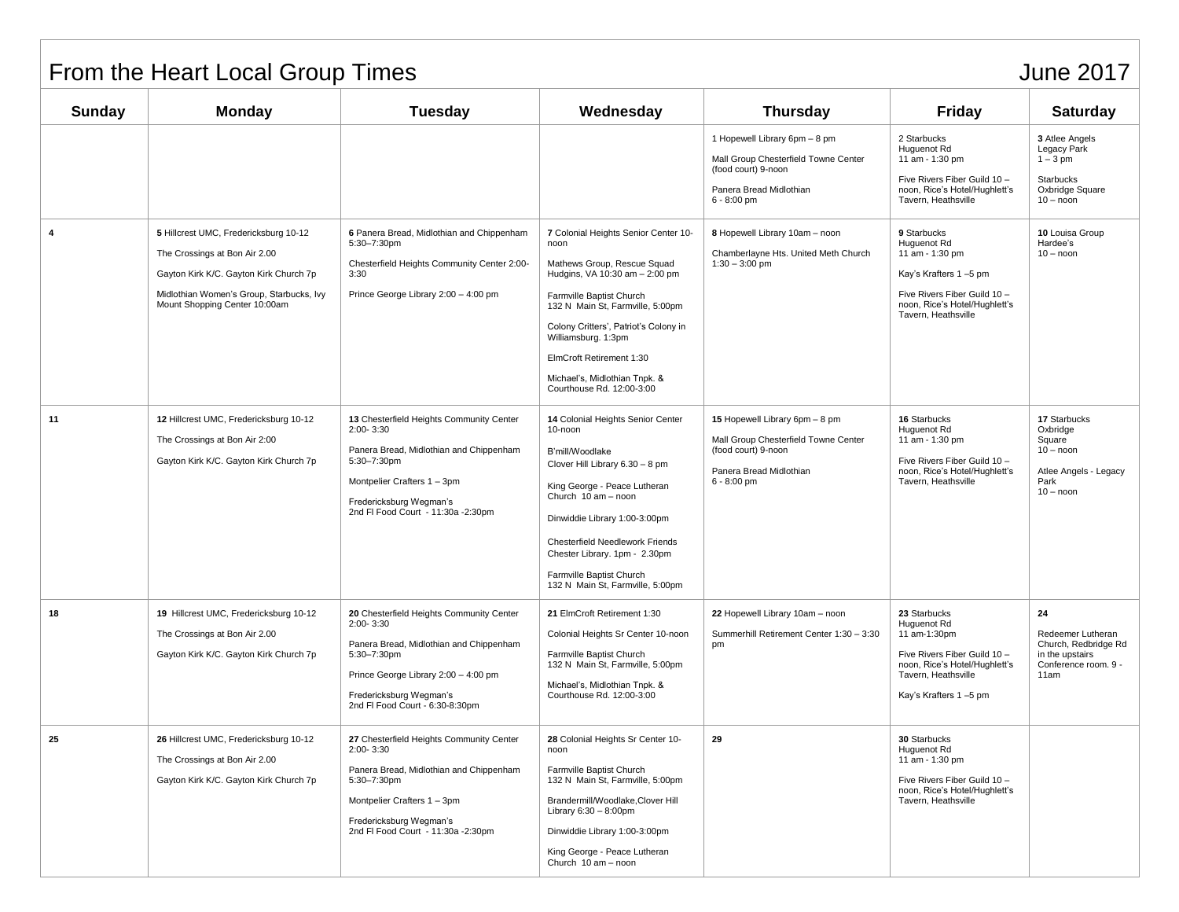## From the Heart Local Group Times June 2017

| <b>Sunday</b> | <b>Monday</b>                                                                                                                                                                                 | <b>Tuesday</b>                                                                                                                                                                                                        | Wednesday                                                                                                                                                                                                                                                                                                                               | <b>Thursday</b>                                                                                                                          | <b>Friday</b>                                                                                                                                                  | <b>Saturday</b>                                                                                    |
|---------------|-----------------------------------------------------------------------------------------------------------------------------------------------------------------------------------------------|-----------------------------------------------------------------------------------------------------------------------------------------------------------------------------------------------------------------------|-----------------------------------------------------------------------------------------------------------------------------------------------------------------------------------------------------------------------------------------------------------------------------------------------------------------------------------------|------------------------------------------------------------------------------------------------------------------------------------------|----------------------------------------------------------------------------------------------------------------------------------------------------------------|----------------------------------------------------------------------------------------------------|
|               |                                                                                                                                                                                               |                                                                                                                                                                                                                       |                                                                                                                                                                                                                                                                                                                                         | 1 Hopewell Library 6pm - 8 pm<br>Mall Group Chesterfield Towne Center<br>(food court) 9-noon<br>Panera Bread Midlothian<br>$6 - 8:00$ pm | 2 Starbucks<br>Huguenot Rd<br>11 am - 1:30 pm<br>Five Rivers Fiber Guild 10 -<br>noon. Rice's Hotel/Hughlett's<br>Tavern, Heathsville                          | 3 Atlee Angels<br>Legacy Park<br>$1 - 3$ pm<br>Starbucks<br>Oxbridge Square<br>$10 -$ noon         |
| 4             | 5 Hillcrest UMC, Fredericksburg 10-12<br>The Crossings at Bon Air 2.00<br>Gayton Kirk K/C. Gayton Kirk Church 7p<br>Midlothian Women's Group, Starbucks, Ivy<br>Mount Shopping Center 10:00am | 6 Panera Bread, Midlothian and Chippenham<br>5:30-7:30pm<br>Chesterfield Heights Community Center 2:00-<br>3:30<br>Prince George Library 2:00 - 4:00 pm                                                               | 7 Colonial Heights Senior Center 10-<br>noon<br>Mathews Group, Rescue Squad<br>Hudgins, VA 10:30 am - 2:00 pm<br>Farmville Baptist Church<br>132 N Main St, Farmville, 5:00pm<br>Colony Critters', Patriot's Colony in<br>Williamsburg. 1:3pm<br>ElmCroft Retirement 1:30<br>Michael's, Midlothian Tnpk. &<br>Courthouse Rd. 12:00-3:00 | 8 Hopewell Library 10am - noon<br>Chamberlayne Hts. United Meth Church<br>$1:30 - 3:00$ pm                                               | 9 Starbucks<br>Huguenot Rd<br>11 am - 1:30 pm<br>Kay's Krafters 1-5 pm<br>Five Rivers Fiber Guild 10 -<br>noon, Rice's Hotel/Hughlett's<br>Tavern, Heathsville | 10 Louisa Group<br>Hardee's<br>$10 -$ noon                                                         |
| 11            | 12 Hillcrest UMC, Fredericksburg 10-12<br>The Crossings at Bon Air 2:00<br>Gayton Kirk K/C. Gayton Kirk Church 7p                                                                             | 13 Chesterfield Heights Community Center<br>2:00-3:30<br>Panera Bread, Midlothian and Chippenham<br>5:30-7:30pm<br>Montpelier Crafters 1 - 3pm<br>Fredericksburg Wegman's<br>2nd FI Food Court - 11:30a -2:30pm       | 14 Colonial Heights Senior Center<br>10-noon<br>B'mill/Woodlake<br>Clover Hill Library 6.30 - 8 pm<br>King George - Peace Lutheran<br>Church 10 am - noon<br>Dinwiddie Library 1:00-3:00pm<br>Chesterfield Needlework Friends<br>Chester Library. 1pm - 2.30pm<br>Farmville Baptist Church<br>132 N Main St, Farmville, 5:00pm          | 15 Hopewell Library 6pm - 8 pm<br>Mall Group Chesterfield Towne Center<br>(food court) 9-noon<br>Panera Bread Midlothian<br>6 - 8:00 pm  | 16 Starbucks<br>Huguenot Rd<br>11 am - 1:30 pm<br>Five Rivers Fiber Guild 10 -<br>noon, Rice's Hotel/Hughlett's<br>Tavern, Heathsville                         | 17 Starbucks<br>Oxbridge<br>Square<br>$10 -$ noon<br>Atlee Angels - Legacy<br>Park<br>$10 -$ noon  |
| 18            | 19 Hillcrest UMC, Fredericksburg 10-12<br>The Crossings at Bon Air 2.00<br>Gayton Kirk K/C. Gayton Kirk Church 7p                                                                             | 20 Chesterfield Heights Community Center<br>2:00-3:30<br>Panera Bread, Midlothian and Chippenham<br>5:30-7:30pm<br>Prince George Library 2:00 - 4:00 pm<br>Fredericksburg Wegman's<br>2nd FI Food Court - 6:30-8:30pm | 21 ElmCroft Retirement 1:30<br>Colonial Heights Sr Center 10-noon<br>Farmville Baptist Church<br>132 N Main St, Farmville, 5:00pm<br>Michael's, Midlothian Tnpk. &<br>Courthouse Rd. 12:00-3:00                                                                                                                                         | 22 Hopewell Library 10am - noon<br>Summerhill Retirement Center 1:30 - 3:30<br>pm                                                        | 23 Starbucks<br>Huguenot Rd<br>11 am-1:30pm<br>Five Rivers Fiber Guild 10 -<br>noon, Rice's Hotel/Hughlett's<br>Tavern, Heathsville<br>Kay's Krafters 1-5 pm   | 24<br>Redeemer Lutheran<br>Church, Redbridge Rd<br>in the upstairs<br>Conference room. 9 -<br>11am |
| 25            | 26 Hillcrest UMC, Fredericksburg 10-12<br>The Crossings at Bon Air 2.00<br>Gayton Kirk K/C. Gayton Kirk Church 7p                                                                             | 27 Chesterfield Heights Community Center<br>$2:00 - 3:30$<br>Panera Bread, Midlothian and Chippenham<br>5:30-7:30pm<br>Montpelier Crafters 1 - 3pm<br>Fredericksburg Wegman's<br>2nd FI Food Court - 11:30a -2:30pm   | 28 Colonial Heights Sr Center 10-<br>noon<br>Farmville Baptist Church<br>132 N Main St. Farmville, 5:00pm<br>Brandermill/Woodlake, Clover Hill<br>Library $6:30 - 8:00$ pm<br>Dinwiddie Library 1:00-3:00pm<br>King George - Peace Lutheran<br>Church 10 am - noon                                                                      | 29                                                                                                                                       | 30 Starbucks<br>Huguenot Rd<br>11 am - 1:30 pm<br>Five Rivers Fiber Guild 10 -<br>noon, Rice's Hotel/Hughlett's<br>Tavern, Heathsville                         |                                                                                                    |